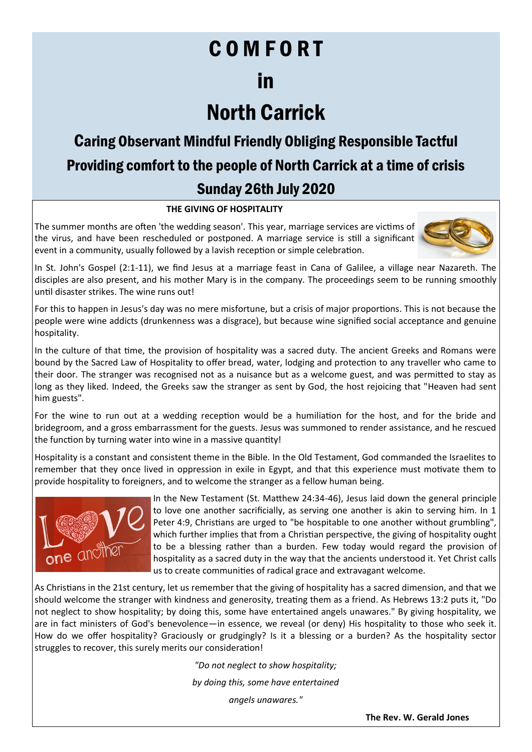# C O M F O R T

### in

# North Carrick

### Caring Observant Mindful Friendly Obliging Responsible Tactful Providing comfort to the people of North Carrick at a time of crisis Sunday 26th July 2020

#### **THE GIVING OF HOSPITALITY**

The summer months are often 'the wedding season'. This year, marriage services are victims of the virus, and have been rescheduled or postponed. A marriage service is still a significant event in a community, usually followed by a lavish reception or simple celebration.



In St. John's Gospel (2:1-11), we find Jesus at a marriage feast in Cana of Galilee, a village near Nazareth. The disciples are also present, and his mother Mary is in the company. The proceedings seem to be running smoothly until disaster strikes. The wine runs out!

For this to happen in Jesus's day was no mere misfortune, but a crisis of major proportions. This is not because the people were wine addicts (drunkenness was a disgrace), but because wine signified social acceptance and genuine hospitality.

In the culture of that time, the provision of hospitality was a sacred duty. The ancient Greeks and Romans were bound by the Sacred Law of Hospitality to offer bread, water, lodging and protection to any traveller who came to their door. The stranger was recognised not as a nuisance but as a welcome guest, and was permitted to stay as long as they liked. Indeed, the Greeks saw the stranger as sent by God, the host rejoicing that "Heaven had sent him guests".

For the wine to run out at a wedding reception would be a humiliation for the host, and for the bride and bridegroom, and a gross embarrassment for the guests. Jesus was summoned to render assistance, and he rescued the function by turning water into wine in a massive quantity!

Hospitality is a constant and consistent theme in the Bible. In the Old Testament, God commanded the Israelites to remember that they once lived in oppression in exile in Egypt, and that this experience must motivate them to provide hospitality to foreigners, and to welcome the stranger as a fellow human being.



In the New Testament (St. Matthew 24:34-46), Jesus laid down the general principle to love one another sacrificially, as serving one another is akin to serving him. In 1 Peter 4:9, Christians are urged to "be hospitable to one another without grumbling", which further implies that from a Christian perspective, the giving of hospitality ought to be a blessing rather than a burden. Few today would regard the provision of hospitality as a sacred duty in the way that the ancients understood it. Yet Christ calls us to create communities of radical grace and extravagant welcome.

As Christians in the 21st century, let us remember that the giving of hospitality has a sacred dimension, and that we should welcome the stranger with kindness and generosity, treating them as a friend. As Hebrews 13:2 puts it, "Do not neglect to show hospitality; by doing this, some have entertained angels unawares." By giving hospitality, we are in fact ministers of God's benevolence—in essence, we reveal (or deny) His hospitality to those who seek it. How do we offer hospitality? Graciously or grudgingly? Is it a blessing or a burden? As the hospitality sector struggles to recover, this surely merits our consideration!

*"Do not neglect to show hospitality;*

*by doing this, some have entertained*

*angels unawares."*

**The Rev. W. Gerald Jones**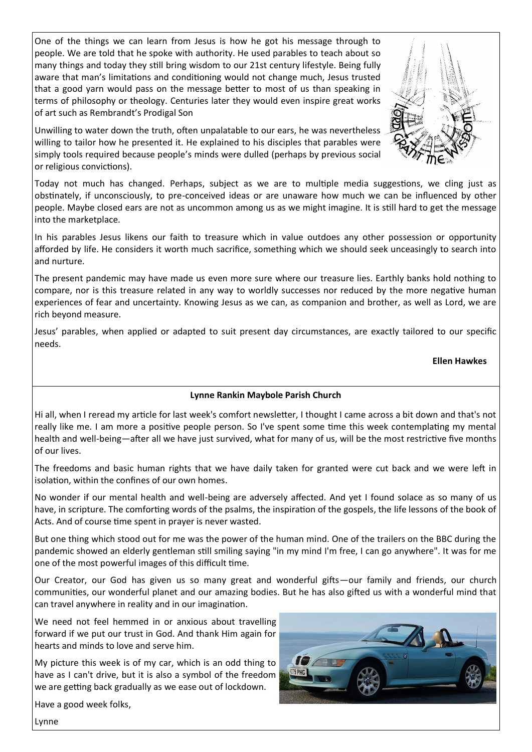One of the things we can learn from Jesus is how he got his message through to people. We are told that he spoke with authority. He used parables to teach about so many things and today they still bring wisdom to our 21st century lifestyle. Being fully aware that man's limitations and conditioning would not change much, Jesus trusted that a good yarn would pass on the message better to most of us than speaking in terms of philosophy or theology. Centuries later they would even inspire great works of art such as Rembrandt's Prodigal Son

Unwilling to water down the truth, often unpalatable to our ears, he was nevertheless willing to tailor how he presented it. He explained to his disciples that parables were simply tools required because people's minds were dulled (perhaps by previous social or religious convictions).



Today not much has changed. Perhaps, subject as we are to multiple media suggestions, we cling just as obstinately, if unconsciously, to pre-conceived ideas or are unaware how much we can be influenced by other people. Maybe closed ears are not as uncommon among us as we might imagine. It is still hard to get the message into the marketplace.

In his parables Jesus likens our faith to treasure which in value outdoes any other possession or opportunity afforded by life. He considers it worth much sacrifice, something which we should seek unceasingly to search into and nurture.

The present pandemic may have made us even more sure where our treasure lies. Earthly banks hold nothing to compare, nor is this treasure related in any way to worldly successes nor reduced by the more negative human experiences of fear and uncertainty. Knowing Jesus as we can, as companion and brother, as well as Lord, we are rich beyond measure.

Jesus' parables, when applied or adapted to suit present day circumstances, are exactly tailored to our specific needs.

#### **Ellen Hawkes**

#### **Lynne Rankin Maybole Parish Church**

Hi all, when I reread my article for last week's comfort newsletter, I thought I came across a bit down and that's not really like me. I am more a positive people person. So I've spent some time this week contemplating my mental health and well-being—after all we have just survived, what for many of us, will be the most restrictive five months of our lives.

The freedoms and basic human rights that we have daily taken for granted were cut back and we were left in isolation, within the confines of our own homes.

No wonder if our mental health and well-being are adversely affected. And yet I found solace as so many of us have, in scripture. The comforting words of the psalms, the inspiration of the gospels, the life lessons of the book of Acts. And of course time spent in prayer is never wasted.

But one thing which stood out for me was the power of the human mind. One of the trailers on the BBC during the pandemic showed an elderly gentleman still smiling saying "in my mind I'm free, I can go anywhere". It was for me one of the most powerful images of this difficult time.

Our Creator, our God has given us so many great and wonderful gifts—our family and friends, our church communities, our wonderful planet and our amazing bodies. But he has also gifted us with a wonderful mind that can travel anywhere in reality and in our imagination.

We need not feel hemmed in or anxious about travelling forward if we put our trust in God. And thank Him again for hearts and minds to love and serve him.

My picture this week is of my car, which is an odd thing to have as I can't drive, but it is also a symbol of the freedom we are getting back gradually as we ease out of lockdown.



Have a good week folks,

Lynne